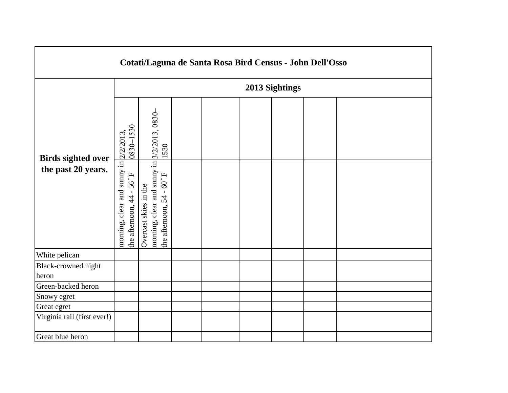| Cotati/Laguna de Santa Rosa Bird Census - John Dell'Osso |                                                                                             |                                                                                                                    |  |  |  |  |  |  |  |  |
|----------------------------------------------------------|---------------------------------------------------------------------------------------------|--------------------------------------------------------------------------------------------------------------------|--|--|--|--|--|--|--|--|
|                                                          | 2013 Sightings                                                                              |                                                                                                                    |  |  |  |  |  |  |  |  |
| <b>Birds sighted over</b><br>the past 20 years.          | 0830-1530<br>morning, clear and sunny in $\frac{2}{22013}$ ,<br>the afternoon, $44 - 56° F$ | morning, clear and sunny in 3/2/2013, 0830-<br>1530<br>the afternoon, $54 - 60^{\circ}$ F<br>Overcast skies in the |  |  |  |  |  |  |  |  |
| White pelican                                            |                                                                                             |                                                                                                                    |  |  |  |  |  |  |  |  |
| Black-crowned night                                      |                                                                                             |                                                                                                                    |  |  |  |  |  |  |  |  |
| heron                                                    |                                                                                             |                                                                                                                    |  |  |  |  |  |  |  |  |
| Green-backed heron                                       |                                                                                             |                                                                                                                    |  |  |  |  |  |  |  |  |
| Snowy egret                                              |                                                                                             |                                                                                                                    |  |  |  |  |  |  |  |  |
| Great egret                                              |                                                                                             |                                                                                                                    |  |  |  |  |  |  |  |  |
| Virginia rail (first ever!)                              |                                                                                             |                                                                                                                    |  |  |  |  |  |  |  |  |
| Great blue heron                                         |                                                                                             |                                                                                                                    |  |  |  |  |  |  |  |  |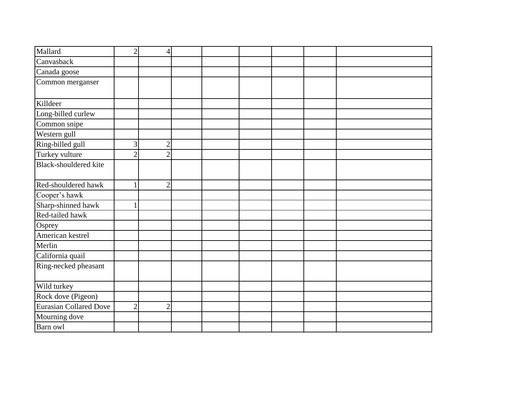| Mallard                       | $\overline{2}$ | 4              |  |  |  |
|-------------------------------|----------------|----------------|--|--|--|
| Canvasback                    |                |                |  |  |  |
| Canada goose                  |                |                |  |  |  |
| Common merganser              |                |                |  |  |  |
|                               |                |                |  |  |  |
| Killdeer                      |                |                |  |  |  |
| Long-billed curlew            |                |                |  |  |  |
| Common snipe                  |                |                |  |  |  |
| Western gull                  |                |                |  |  |  |
| Ring-billed gull              | 3              | $\overline{c}$ |  |  |  |
| Turkey vulture                | $\overline{2}$ | $\overline{2}$ |  |  |  |
| Black-shouldered kite         |                |                |  |  |  |
|                               |                |                |  |  |  |
| Red-shouldered hawk           | 1              | $\overline{2}$ |  |  |  |
| Cooper's hawk                 |                |                |  |  |  |
| Sharp-shinned hawk            |                |                |  |  |  |
| Red-tailed hawk               |                |                |  |  |  |
| Osprey                        |                |                |  |  |  |
| American kestrel              |                |                |  |  |  |
| Merlin                        |                |                |  |  |  |
| California quail              |                |                |  |  |  |
| Ring-necked pheasant          |                |                |  |  |  |
|                               |                |                |  |  |  |
| Wild turkey                   |                |                |  |  |  |
| Rock dove (Pigeon)            |                |                |  |  |  |
| <b>Eurasian Collared Dove</b> | $\overline{2}$ | $\overline{2}$ |  |  |  |
| Mourning dove                 |                |                |  |  |  |
| Barn owl                      |                |                |  |  |  |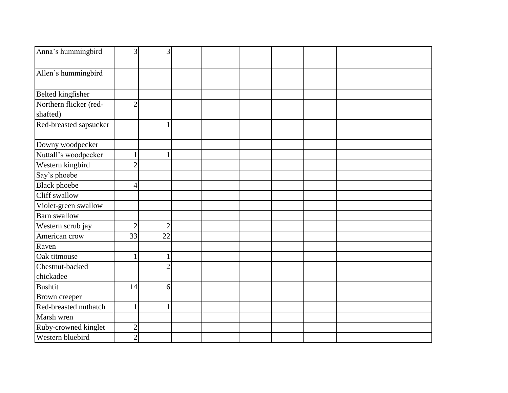| Anna's hummingbird       | 3              | 3              |  |  |  |
|--------------------------|----------------|----------------|--|--|--|
| Allen's hummingbird      |                |                |  |  |  |
|                          |                |                |  |  |  |
| <b>Belted kingfisher</b> |                |                |  |  |  |
| Northern flicker (red-   | $\overline{2}$ |                |  |  |  |
| shafted)                 |                |                |  |  |  |
| Red-breasted sapsucker   |                |                |  |  |  |
| Downy woodpecker         |                |                |  |  |  |
| Nuttall's woodpecker     |                |                |  |  |  |
| Western kingbird         | $\overline{2}$ |                |  |  |  |
| Say's phoebe             |                |                |  |  |  |
| <b>Black</b> phoebe      | 4              |                |  |  |  |
| Cliff swallow            |                |                |  |  |  |
| Violet-green swallow     |                |                |  |  |  |
| <b>Barn</b> swallow      |                |                |  |  |  |
| Western scrub jay        | $\overline{2}$ | $\overline{2}$ |  |  |  |
| American crow            | 33             | 22             |  |  |  |
| Raven                    |                |                |  |  |  |
| Oak titmouse             |                |                |  |  |  |
| Chestnut-backed          |                | $\overline{2}$ |  |  |  |
| chickadee                |                |                |  |  |  |
| <b>Bushtit</b>           | 14             | $6 \mid$       |  |  |  |
| Brown creeper            |                |                |  |  |  |
| Red-breasted nuthatch    | $\mathbf{1}$   |                |  |  |  |
| Marsh wren               |                |                |  |  |  |
| Ruby-crowned kinglet     | $\overline{2}$ |                |  |  |  |
| Western bluebird         | $\overline{2}$ |                |  |  |  |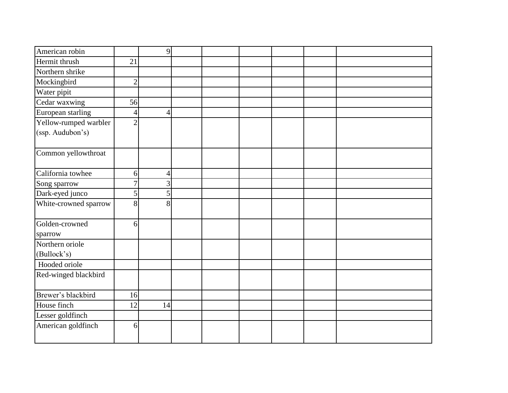| American robin            |                | 9              |  |  |  |
|---------------------------|----------------|----------------|--|--|--|
| Hermit thrush             | 21             |                |  |  |  |
| Northern shrike           |                |                |  |  |  |
| Mockingbird               | $\overline{2}$ |                |  |  |  |
| Water pipit               |                |                |  |  |  |
| Cedar waxwing             | 56             |                |  |  |  |
| European starling         | 4              | 4              |  |  |  |
| Yellow-rumped warbler     | $\overline{2}$ |                |  |  |  |
| (ssp. Audubon's)          |                |                |  |  |  |
|                           |                |                |  |  |  |
| Common yellowthroat       |                |                |  |  |  |
| California towhee         |                |                |  |  |  |
|                           | 6              | $\overline{4}$ |  |  |  |
| Song sparrow              | $\overline{7}$ | 3              |  |  |  |
| Dark-eyed junco           | 5              | 5              |  |  |  |
| White-crowned sparrow     | 8              | 8              |  |  |  |
| Golden-crowned<br>sparrow | 6              |                |  |  |  |
| Northern oriole           |                |                |  |  |  |
| (Bullock's)               |                |                |  |  |  |
| Hooded oriole             |                |                |  |  |  |
| Red-winged blackbird      |                |                |  |  |  |
| Brewer's blackbird        | 16             |                |  |  |  |
| House finch               | 12             | 14             |  |  |  |
| Lesser goldfinch          |                |                |  |  |  |
| American goldfinch        | 6              |                |  |  |  |
|                           |                |                |  |  |  |